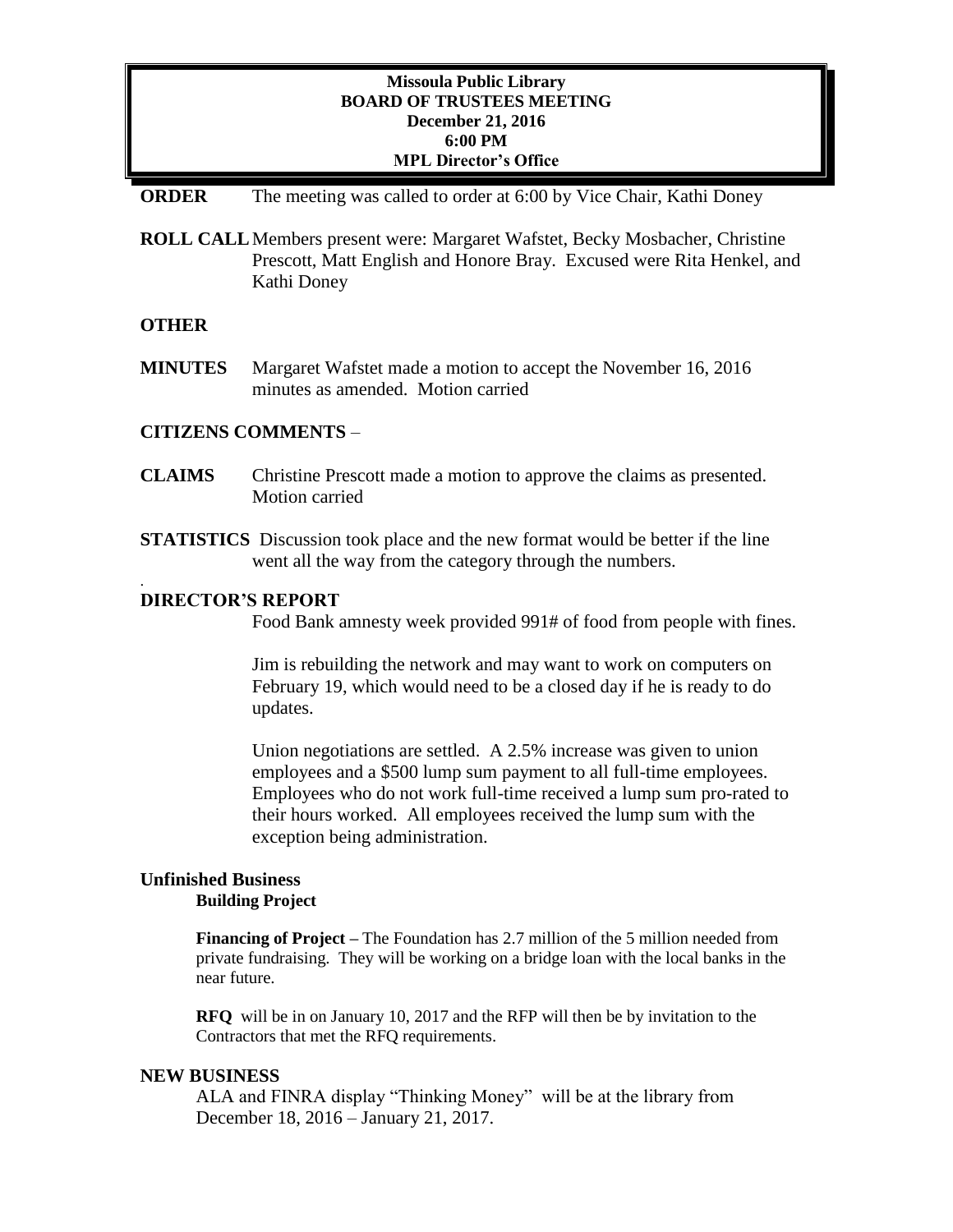## **Missoula Public Library BOARD OF TRUSTEES MEETING December 21, 2016 6:00 PM MPL Director's Office**

#### **ORDER** The meeting was called to order at 6:00 by Vice Chair, Kathi Doney

**ROLL CALL**Members present were: Margaret Wafstet, Becky Mosbacher, Christine Prescott, Matt English and Honore Bray. Excused were Rita Henkel, and Kathi Doney

## **OTHER**

.

**MINUTES** Margaret Wafstet made a motion to accept the November 16, 2016 minutes as amended. Motion carried

#### **CITIZENS COMMENTS** –

- **CLAIMS** Christine Prescott made a motion to approve the claims as presented. Motion carried
- **STATISTICS** Discussion took place and the new format would be better if the line went all the way from the category through the numbers.

#### **DIRECTOR'S REPORT**

Food Bank amnesty week provided 991# of food from people with fines.

Jim is rebuilding the network and may want to work on computers on February 19, which would need to be a closed day if he is ready to do updates.

Union negotiations are settled. A 2.5% increase was given to union employees and a \$500 lump sum payment to all full-time employees. Employees who do not work full-time received a lump sum pro-rated to their hours worked. All employees received the lump sum with the exception being administration.

## **Unfinished Business Building Project**

**Financing of Project –** The Foundation has 2.7 million of the 5 million needed from private fundraising. They will be working on a bridge loan with the local banks in the near future.

**RFQ** will be in on January 10, 2017 and the RFP will then be by invitation to the Contractors that met the RFQ requirements.

#### **NEW BUSINESS**

ALA and FINRA display "Thinking Money" will be at the library from December 18, 2016 – January 21, 2017.